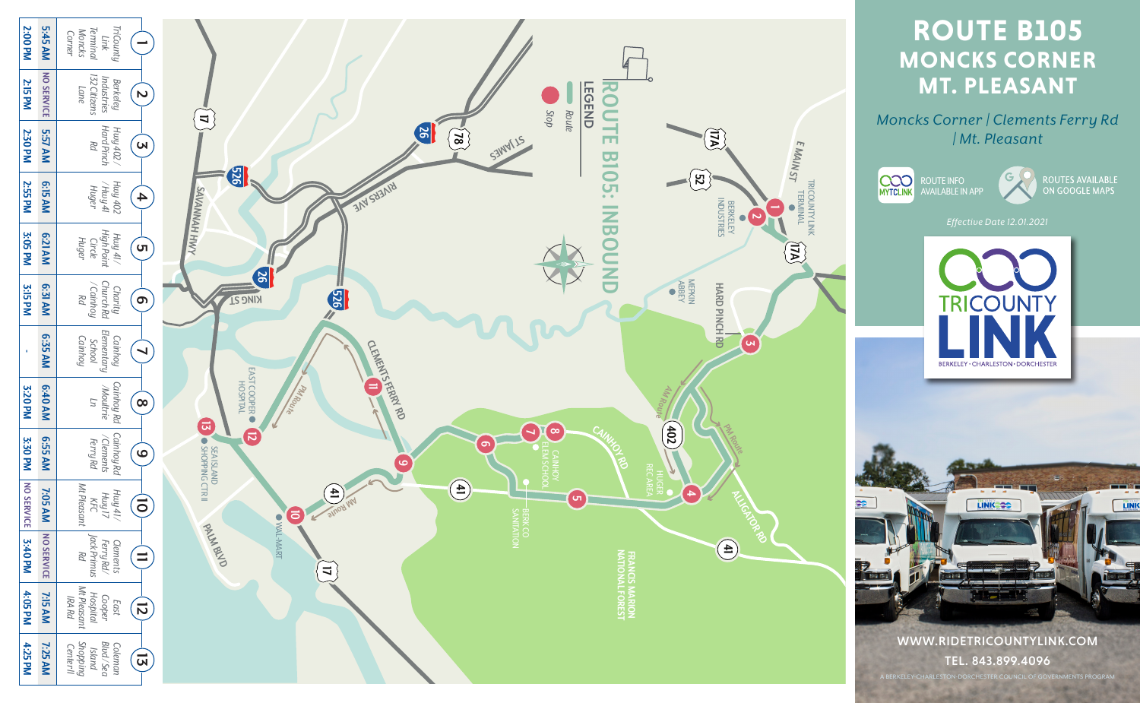